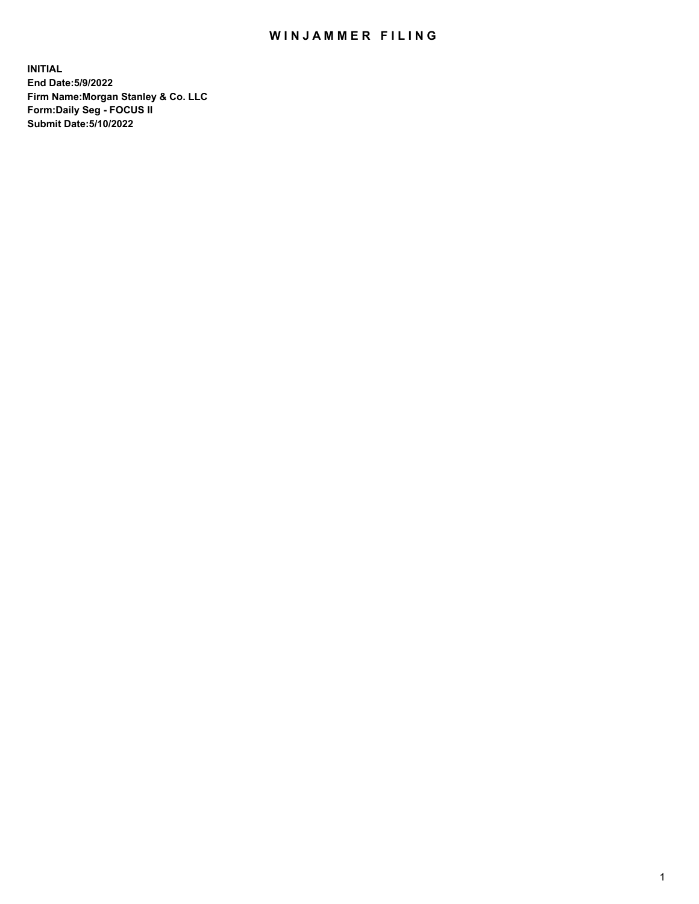## WIN JAMMER FILING

**INITIAL End Date:5/9/2022 Firm Name:Morgan Stanley & Co. LLC Form:Daily Seg - FOCUS II Submit Date:5/10/2022**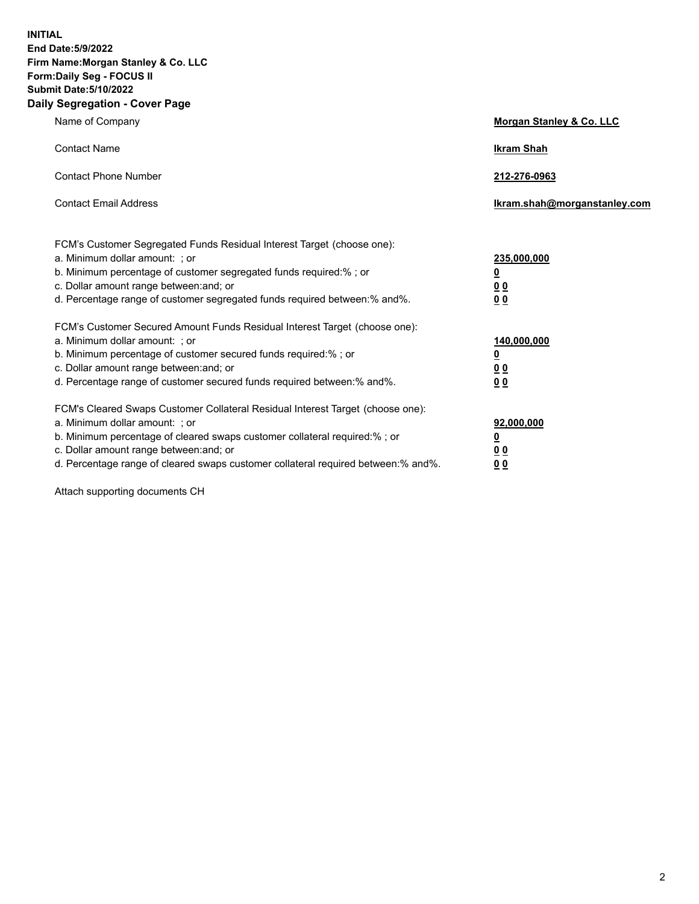**INITIAL End Date:5/9/2022 Firm Name:Morgan Stanley & Co. LLC Form:Daily Seg - FOCUS II Submit Date:5/10/2022 Daily Segregation - Cover Page**

| Name of Company                                                                                                                                                                                                                                                                                                                | Morgan Stanley & Co. LLC                               |
|--------------------------------------------------------------------------------------------------------------------------------------------------------------------------------------------------------------------------------------------------------------------------------------------------------------------------------|--------------------------------------------------------|
| <b>Contact Name</b>                                                                                                                                                                                                                                                                                                            | <b>Ikram Shah</b>                                      |
| <b>Contact Phone Number</b>                                                                                                                                                                                                                                                                                                    | 212-276-0963                                           |
| <b>Contact Email Address</b>                                                                                                                                                                                                                                                                                                   | lkram.shah@morganstanley.com                           |
| FCM's Customer Segregated Funds Residual Interest Target (choose one):<br>a. Minimum dollar amount: ; or<br>b. Minimum percentage of customer segregated funds required:%; or<br>c. Dollar amount range between: and; or<br>d. Percentage range of customer segregated funds required between: % and %.                        | 235,000,000<br><u>0</u><br><u>00</u><br>00             |
| FCM's Customer Secured Amount Funds Residual Interest Target (choose one):<br>a. Minimum dollar amount: : or<br>b. Minimum percentage of customer secured funds required:%; or<br>c. Dollar amount range between: and; or<br>d. Percentage range of customer secured funds required between:% and%.                            | 140,000,000<br><u>0</u><br><u>00</u><br>0 <sup>0</sup> |
| FCM's Cleared Swaps Customer Collateral Residual Interest Target (choose one):<br>a. Minimum dollar amount: ; or<br>b. Minimum percentage of cleared swaps customer collateral required:% ; or<br>c. Dollar amount range between: and; or<br>d. Percentage range of cleared swaps customer collateral required between:% and%. | 92,000,000<br><u>0</u><br><u>00</u><br>00              |

Attach supporting documents CH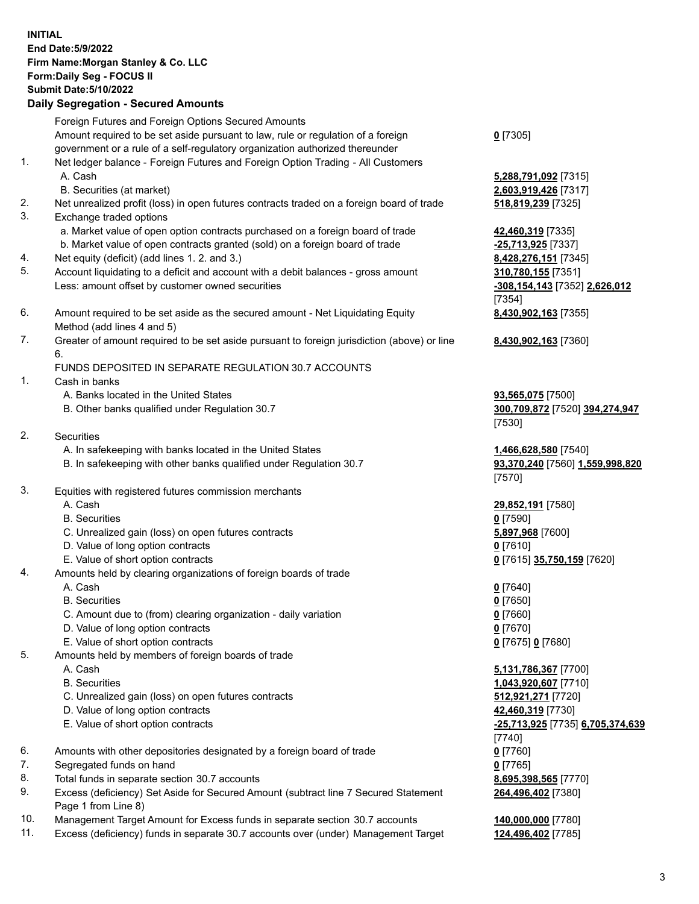## **INITIAL End Date:5/9/2022 Firm Name:Morgan Stanley & Co. LLC Form:Daily Seg - FOCUS II Submit Date:5/10/2022 Daily Segregation - Secured Amounts**

Foreign Futures and Foreign Options Secured Amounts Amount required to be set aside pursuant to law, rule or regulation of a foreign government or a rule of a self-regulatory organization authorized thereunder

- 1. Net ledger balance Foreign Futures and Foreign Option Trading All Customers A. Cash **5,288,791,092** [7315]
	- B. Securities (at market) **2,603,919,426** [7317]
- 2. Net unrealized profit (loss) in open futures contracts traded on a foreign board of trade **518,819,239** [7325]
- 3. Exchange traded options
	- a. Market value of open option contracts purchased on a foreign board of trade **42,460,319** [7335]
	- b. Market value of open contracts granted (sold) on a foreign board of trade **-25,713,925** [7337]
- 4. Net equity (deficit) (add lines 1. 2. and 3.) **8,428,276,151** [7345]
- 5. Account liquidating to a deficit and account with a debit balances gross amount **310,780,155** [7351] Less: amount offset by customer owned securities **-308,154,143** [7352] **2,626,012**
- 6. Amount required to be set aside as the secured amount Net Liquidating Equity Method (add lines 4 and 5)
- 7. Greater of amount required to be set aside pursuant to foreign jurisdiction (above) or line 6.

## FUNDS DEPOSITED IN SEPARATE REGULATION 30.7 ACCOUNTS

- 1. Cash in banks
	- A. Banks located in the United States **93,565,075** [7500]
	- B. Other banks qualified under Regulation 30.7 **300,709,872** [7520] **394,274,947**
- 2. Securities
	- A. In safekeeping with banks located in the United States **1,466,628,580** [7540]
	- B. In safekeeping with other banks qualified under Regulation 30.7 **93,370,240** [7560] **1,559,998,820**
- 3. Equities with registered futures commission merchants
	-
	- B. Securities **0** [7590]
	- C. Unrealized gain (loss) on open futures contracts **5,897,968** [7600]
	- D. Value of long option contracts **0** [7610]
	- E. Value of short option contracts **0** [7615] **35,750,159** [7620]
- 4. Amounts held by clearing organizations of foreign boards of trade
	- A. Cash **0** [7640]
	- B. Securities **0** [7650]
	- C. Amount due to (from) clearing organization daily variation **0** [7660]
	- D. Value of long option contracts **0** [7670]
	- E. Value of short option contracts **0** [7675] **0** [7680]
- 5. Amounts held by members of foreign boards of trade
	-
	-
	- C. Unrealized gain (loss) on open futures contracts **512,921,271** [7720]
	- D. Value of long option contracts **42,460,319** [7730]
	- E. Value of short option contracts **-25,713,925** [7735] **6,705,374,639**
- 6. Amounts with other depositories designated by a foreign board of trade **0** [7760]
- 7. Segregated funds on hand **0** [7765]
- 8. Total funds in separate section 30.7 accounts **8,695,398,565** [7770]
- 9. Excess (deficiency) Set Aside for Secured Amount (subtract line 7 Secured Statement Page 1 from Line 8)
- 10. Management Target Amount for Excess funds in separate section 30.7 accounts **140,000,000** [7780]
- 11. Excess (deficiency) funds in separate 30.7 accounts over (under) Management Target **124,496,402** [7785]

**0** [7305]

[7354] **8,430,902,163** [7355]

**8,430,902,163** [7360]

[7530]

[7570]

A. Cash **29,852,191** [7580]

 A. Cash **5,131,786,367** [7700] B. Securities **1,043,920,607** [7710] [7740] **264,496,402** [7380]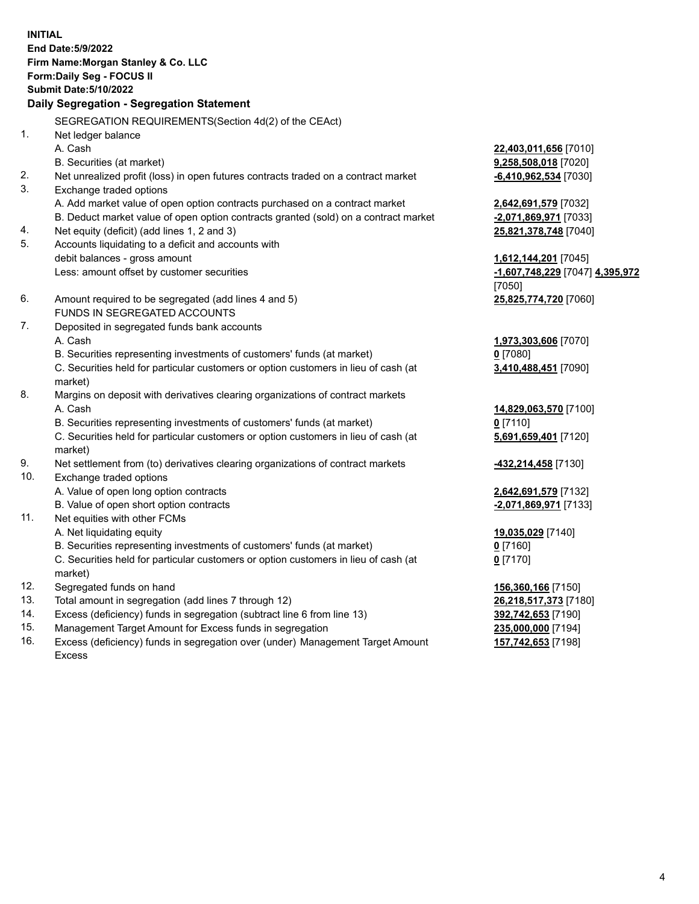**INITIAL End Date:5/9/2022 Firm Name:Morgan Stanley & Co. LLC Form:Daily Seg - FOCUS II Submit Date:5/10/2022 Daily Segregation - Segregation Statement** SEGREGATION REQUIREMENTS(Section 4d(2) of the CEAct) 1. Net ledger balance A. Cash **22,403,011,656** [7010] B. Securities (at market) **9,258,508,018** [7020] 2. Net unrealized profit (loss) in open futures contracts traded on a contract market **-6,410,962,534** [7030] 3. Exchange traded options A. Add market value of open option contracts purchased on a contract market **2,642,691,579** [7032] B. Deduct market value of open option contracts granted (sold) on a contract market **-2,071,869,971** [7033] 4. Net equity (deficit) (add lines 1, 2 and 3) **25,821,378,748** [7040] 5. Accounts liquidating to a deficit and accounts with debit balances - gross amount **1,612,144,201** [7045] Less: amount offset by customer securities **-1,607,748,229** [7047] **4,395,972** [7050] 6. Amount required to be segregated (add lines 4 and 5) **25,825,774,720** [7060] FUNDS IN SEGREGATED ACCOUNTS 7. Deposited in segregated funds bank accounts A. Cash **1,973,303,606** [7070] B. Securities representing investments of customers' funds (at market) **0** [7080] C. Securities held for particular customers or option customers in lieu of cash (at market) **3,410,488,451** [7090] 8. Margins on deposit with derivatives clearing organizations of contract markets A. Cash **14,829,063,570** [7100] B. Securities representing investments of customers' funds (at market) **0** [7110] C. Securities held for particular customers or option customers in lieu of cash (at market) **5,691,659,401** [7120] 9. Net settlement from (to) derivatives clearing organizations of contract markets **-432,214,458** [7130] 10. Exchange traded options A. Value of open long option contracts **2,642,691,579** [7132] B. Value of open short option contracts **-2,071,869,971** [7133] 11. Net equities with other FCMs A. Net liquidating equity **19,035,029** [7140] B. Securities representing investments of customers' funds (at market) **0** [7160] C. Securities held for particular customers or option customers in lieu of cash (at market) **0** [7170] 12. Segregated funds on hand **156,360,166** [7150] 13. Total amount in segregation (add lines 7 through 12) **26,218,517,373** [7180] 14. Excess (deficiency) funds in segregation (subtract line 6 from line 13) **392,742,653** [7190] 15. Management Target Amount for Excess funds in segregation **235,000,000** [7194]

- 16. Excess (deficiency) funds in segregation over (under) Management Target Amount
	- Excess

**157,742,653** [7198]